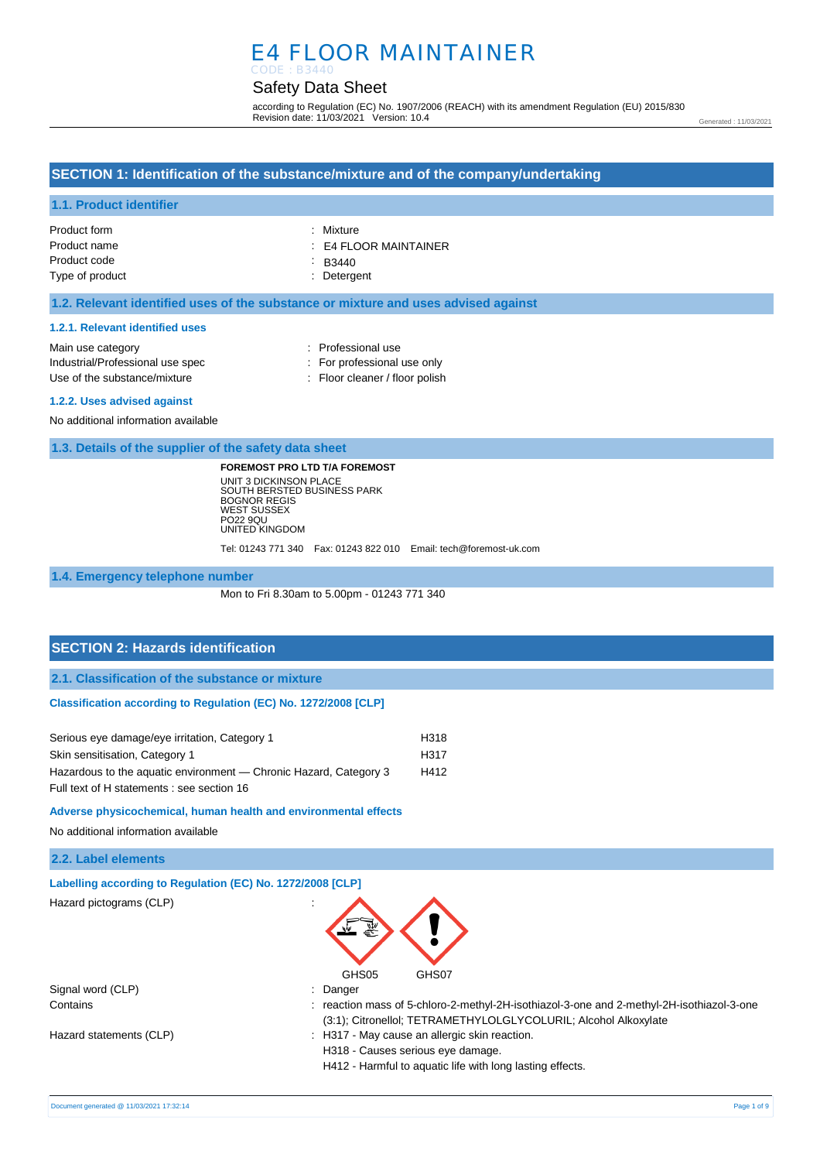# E4 FLOOR MAINTAINER CODE : B3440

# Safety Data Sheet

according to Regulation (EC) No. 1907/2006 (REACH) with its amendment Regulation (EU) 2015/830 Revision date: 11/03/2021 Version: 10.4

Generated : 11/03/2021

### **SECTION 1: Identification of the substance/mixture and of the company/undertaking**

### **1.1. Product identifier**

| Product form    | : Mixture             |
|-----------------|-----------------------|
| Product name    | : E4 FLOOR MAINTAINER |
| Product code    | $\therefore$ B3440    |
| Type of product | : Detergent           |

#### **1.2. Relevant identified uses of the substance or mixture and uses advised against**

#### **1.2.1. Relevant identified uses**

| Main use category                | : Professional use             |
|----------------------------------|--------------------------------|
| Industrial/Professional use spec | : For professional use only    |
| Use of the substance/mixture     | : Floor cleaner / floor polish |
| A 0.0 Here related resident      |                                |

#### **1.2.2. Uses advised against**

No additional information available

**1.3. Details of the supplier of the safety data sheet**

**FOREMOST PRO LTD T/A FOREMOST** UNIT 3 DICKINSON PLACE SOUTH BERSTED BUSINESS PARK BOGNOR REGIS WEST SUSSEX PO22 9QU UNITED KINGDOM

Tel: 01243 771 340 Fax: 01243 822 010 Email: tech@foremost-uk.com

#### **1.4. Emergency telephone number**

Mon to Fri 8.30am to 5.00pm - 01243 771 340

### **SECTION 2: Hazards identification**

**2.1. Classification of the substance or mixture**

#### **Classification according to Regulation (EC) No. 1272/2008 [CLP]**

| Serious eye damage/eye irritation, Category 1                     | H318             |
|-------------------------------------------------------------------|------------------|
| Skin sensitisation, Category 1                                    | H <sub>317</sub> |
| Hazardous to the aquatic environment — Chronic Hazard, Category 3 | H412             |
| Full text of H statements : see section 16                        |                  |

#### **Adverse physicochemical, human health and environmental effects**

No additional information available

| Labelling according to Regulation (EC) No. 1272/2008 [CLP]                                                                                                 |
|------------------------------------------------------------------------------------------------------------------------------------------------------------|
| GHS05<br>GHS07                                                                                                                                             |
|                                                                                                                                                            |
| $\therefore$ Danger                                                                                                                                        |
| reaction mass of 5-chloro-2-methyl-2H-isothiazol-3-one and 2-methyl-2H-isothiazol-3-one<br>(3:1); Citronellol; TETRAMETHYLOLGLYCOLURIL; Alcohol Alkoxylate |
| : H317 - May cause an allergic skin reaction.<br>H318 - Causes serious eye damage.<br>H412 - Harmful to aquatic life with long lasting effects.            |
|                                                                                                                                                            |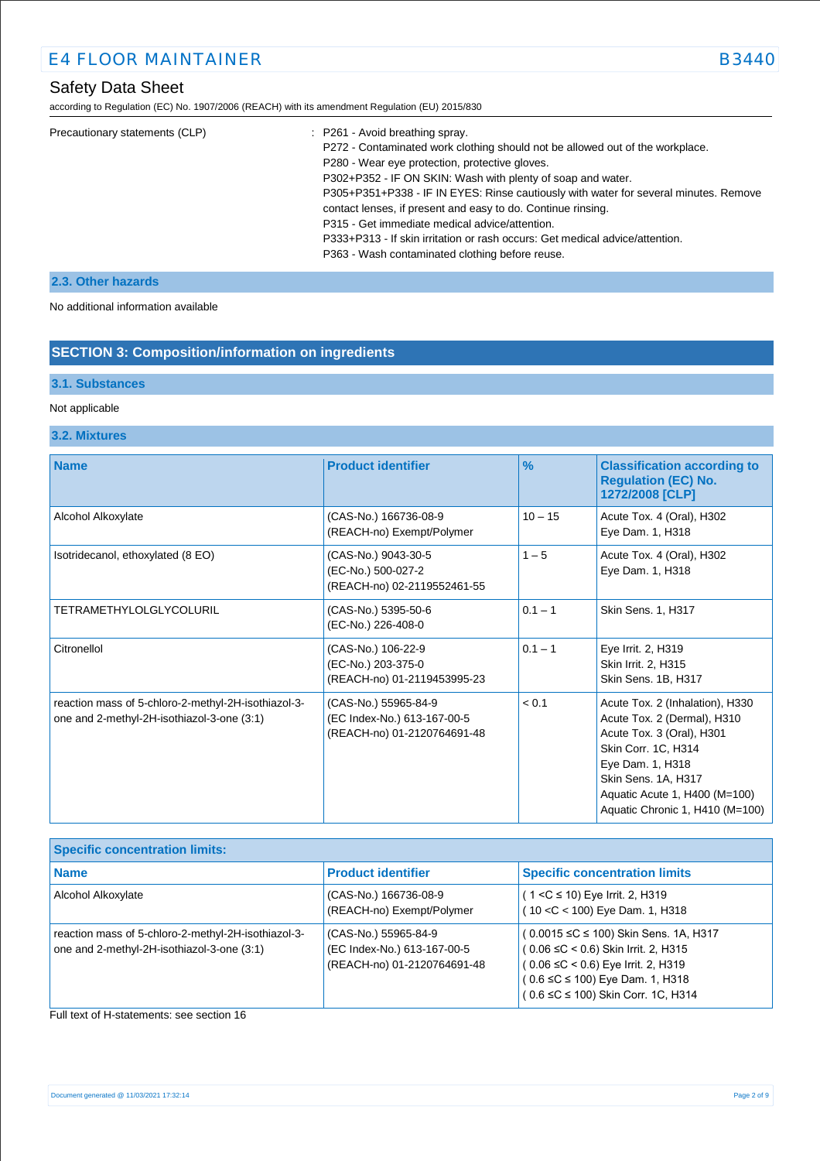# Safety Data Sheet

according to Regulation (EC) No. 1907/2006 (REACH) with its amendment Regulation (EU) 2015/830

| Precautionary statements (CLP) | : P261 - Avoid breathing spray.                                                      |
|--------------------------------|--------------------------------------------------------------------------------------|
|                                | P272 - Contaminated work clothing should not be allowed out of the workplace.        |
|                                | P280 - Wear eye protection, protective gloves.                                       |
|                                | P302+P352 - IF ON SKIN: Wash with plenty of soap and water.                          |
|                                | P305+P351+P338 - IF IN EYES: Rinse cautiously with water for several minutes. Remove |
|                                | contact lenses, if present and easy to do. Continue rinsing.                         |
|                                | P315 - Get immediate medical advice/attention.                                       |
|                                | P333+P313 - If skin irritation or rash occurs: Get medical advice/attention.         |
|                                | P363 - Wash contaminated clothing before reuse.                                      |
|                                |                                                                                      |

### **2.3. Other hazards**

No additional information available

### **SECTION 3: Composition/information on ingredients**

### **3.1. Substances**

### Not applicable

### **3.2. Mixtures**

| <b>Name</b>                                                                                       | <b>Product identifier</b>                                                          | $\frac{9}{6}$ | <b>Classification according to</b><br><b>Regulation (EC) No.</b><br>1272/2008 [CLP]                                                                                                                                               |
|---------------------------------------------------------------------------------------------------|------------------------------------------------------------------------------------|---------------|-----------------------------------------------------------------------------------------------------------------------------------------------------------------------------------------------------------------------------------|
| Alcohol Alkoxylate                                                                                | (CAS-No.) 166736-08-9<br>(REACH-no) Exempt/Polymer                                 | $10 - 15$     | Acute Tox. 4 (Oral), H302<br>Eye Dam. 1, H318                                                                                                                                                                                     |
| Isotridecanol, ethoxylated (8 EO)                                                                 | (CAS-No.) 9043-30-5<br>(EC-No.) 500-027-2<br>(REACH-no) 02-2119552461-55           | $1 - 5$       | Acute Tox. 4 (Oral), H302<br>Eye Dam. 1, H318                                                                                                                                                                                     |
| <b>TETRAMETHYLOLGLYCOLURIL</b>                                                                    | (CAS-No.) 5395-50-6<br>(EC-No.) 226-408-0                                          | $0.1 - 1$     | Skin Sens. 1, H317                                                                                                                                                                                                                |
| Citronellol                                                                                       | (CAS-No.) 106-22-9<br>(EC-No.) 203-375-0<br>(REACH-no) 01-2119453995-23            | $0.1 - 1$     | Eye Irrit. 2, H319<br>Skin Irrit. 2, H315<br>Skin Sens. 1B, H317                                                                                                                                                                  |
| reaction mass of 5-chloro-2-methyl-2H-isothiazol-3-<br>one and 2-methyl-2H-isothiazol-3-one (3:1) | (CAS-No.) 55965-84-9<br>(EC Index-No.) 613-167-00-5<br>(REACH-no) 01-2120764691-48 | < 0.1         | Acute Tox. 2 (Inhalation), H330<br>Acute Tox. 2 (Dermal), H310<br>Acute Tox. 3 (Oral), H301<br>Skin Corr. 1C, H314<br>Eye Dam. 1, H318<br>Skin Sens. 1A, H317<br>Aquatic Acute 1, H400 (M=100)<br>Aquatic Chronic 1, H410 (M=100) |

| <b>Specific concentration limits:</b>                                                               |                                                                                    |                                                                                                                                                                                                                  |
|-----------------------------------------------------------------------------------------------------|------------------------------------------------------------------------------------|------------------------------------------------------------------------------------------------------------------------------------------------------------------------------------------------------------------|
| <b>Name</b>                                                                                         | <b>Product identifier</b>                                                          | <b>Specific concentration limits</b>                                                                                                                                                                             |
| Alcohol Alkoxylate                                                                                  | (CAS-No.) 166736-08-9<br>(REACH-no) Exempt/Polymer                                 | $(1 < C \le 10)$ Eye Irrit. 2, H319<br>(10 < C < 100) Eye Dam. 1, H318                                                                                                                                           |
| reaction mass of 5-chloro-2-methyl-2H-isothiazol-3-<br>one and 2-methyl-2H-isothiazol-3-one $(3:1)$ | (CAS-No.) 55965-84-9<br>(EC Index-No.) 613-167-00-5<br>(REACH-no) 01-2120764691-48 | (0.0015 ≤C ≤ 100) Skin Sens. 1A, H317<br>$(0.06 \leq C < 0.6)$ Skin Irrit. 2, H315<br>$(0.06 \leq C < 0.6)$ Eye Irrit. 2, H319<br>$(0.6 \leq C \leq 100)$ Eye Dam. 1, H318<br>(0.6 ≤C ≤ 100) Skin Corr. 1C, H314 |

#### Full text of H-statements: see section 16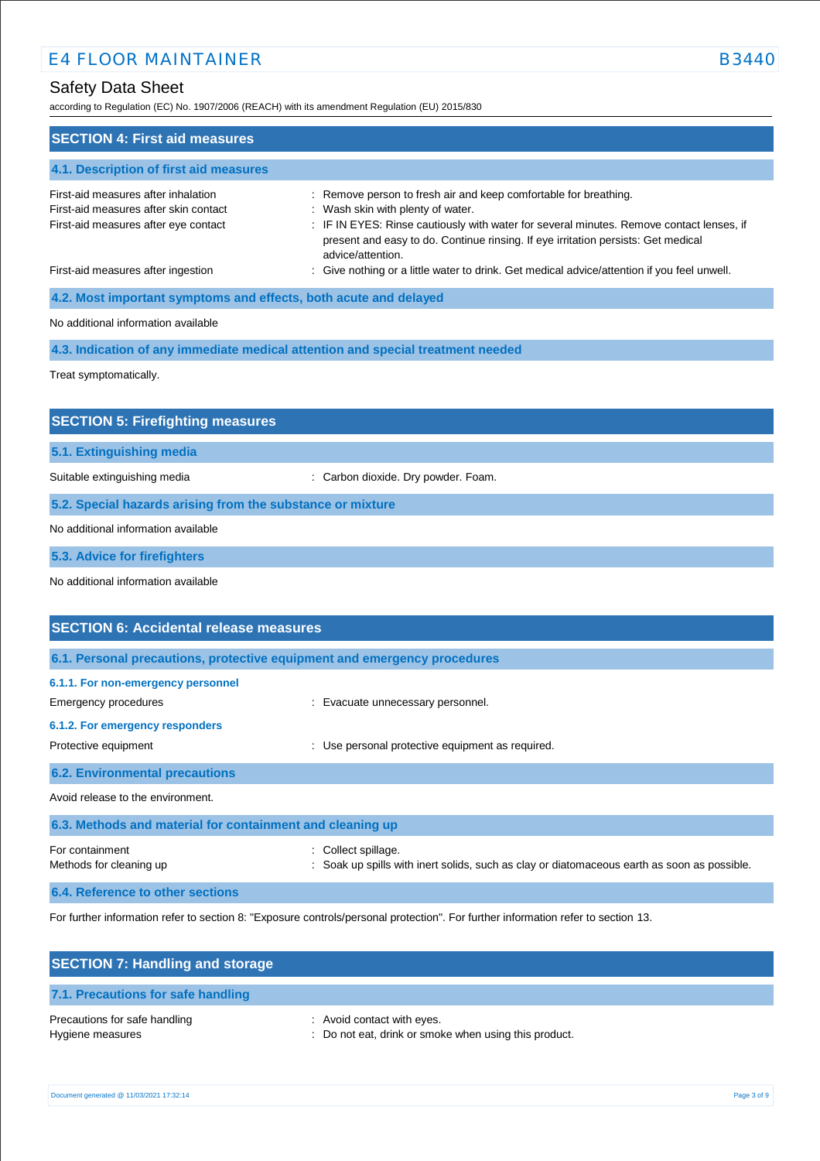# Safety Data Sheet

according to Regulation (EC) No. 1907/2006 (REACH) with its amendment Regulation (EU) 2015/830

| according to Regulation (EC) No. 1907/2006 (REACH) with its amendment Regulation (EU) 2015/830                       |                                                                                                                                                                                                                                                                                                             |
|----------------------------------------------------------------------------------------------------------------------|-------------------------------------------------------------------------------------------------------------------------------------------------------------------------------------------------------------------------------------------------------------------------------------------------------------|
| <b>SECTION 4: First aid measures</b>                                                                                 |                                                                                                                                                                                                                                                                                                             |
| 4.1. Description of first aid measures                                                                               |                                                                                                                                                                                                                                                                                                             |
| First-aid measures after inhalation<br>First-aid measures after skin contact<br>First-aid measures after eye contact | : Remove person to fresh air and keep comfortable for breathing.<br>: Wash skin with plenty of water.<br>: IF IN EYES: Rinse cautiously with water for several minutes. Remove contact lenses, if<br>present and easy to do. Continue rinsing. If eye irritation persists: Get medical<br>advice/attention. |
| First-aid measures after ingestion                                                                                   | : Give nothing or a little water to drink. Get medical advice/attention if you feel unwell.                                                                                                                                                                                                                 |
| 4.2. Most important symptoms and effects, both acute and delayed                                                     |                                                                                                                                                                                                                                                                                                             |
| No additional information available                                                                                  |                                                                                                                                                                                                                                                                                                             |
|                                                                                                                      | 4.3. Indication of any immediate medical attention and special treatment needed                                                                                                                                                                                                                             |
| Treat symptomatically.                                                                                               |                                                                                                                                                                                                                                                                                                             |
| <b>SECTION 5: Firefighting measures</b>                                                                              |                                                                                                                                                                                                                                                                                                             |
| 5.1. Extinguishing media                                                                                             |                                                                                                                                                                                                                                                                                                             |
| Suitable extinguishing media                                                                                         | : Carbon dioxide. Dry powder. Foam.                                                                                                                                                                                                                                                                         |
| 5.2. Special hazards arising from the substance or mixture                                                           |                                                                                                                                                                                                                                                                                                             |
| No additional information available                                                                                  |                                                                                                                                                                                                                                                                                                             |
| 5.3. Advice for firefighters                                                                                         |                                                                                                                                                                                                                                                                                                             |
| No additional information available                                                                                  |                                                                                                                                                                                                                                                                                                             |
| <b>SECTION 6: Accidental release measures</b>                                                                        |                                                                                                                                                                                                                                                                                                             |
|                                                                                                                      | 6.1. Personal precautions, protective equipment and emergency procedures                                                                                                                                                                                                                                    |
| 6.1.1. For non-emergency personnel                                                                                   |                                                                                                                                                                                                                                                                                                             |
| Emergency procedures                                                                                                 | : Evacuate unnecessary personnel.                                                                                                                                                                                                                                                                           |
| 6.1.2. For emergency responders                                                                                      |                                                                                                                                                                                                                                                                                                             |
| Protective equipment                                                                                                 | : Use personal protective equipment as required.                                                                                                                                                                                                                                                            |
| <b>6.2. Environmental precautions</b>                                                                                |                                                                                                                                                                                                                                                                                                             |
|                                                                                                                      |                                                                                                                                                                                                                                                                                                             |

Avoid release to the environment.

| 6.3. Methods and material for containment and cleaning up |                                                                                                                    |
|-----------------------------------------------------------|--------------------------------------------------------------------------------------------------------------------|
| For containment<br>Methods for cleaning up                | : Collect spillage.<br>: Soak up spills with inert solids, such as clay or diatomaceous earth as soon as possible. |
|                                                           |                                                                                                                    |

**6.4. Reference to other sections**

For further information refer to section 8: "Exposure controls/personal protection". For further information refer to section 13.

| <b>SECTION 7: Handling and storage</b>            |                                                                                     |
|---------------------------------------------------|-------------------------------------------------------------------------------------|
| 7.1. Precautions for safe handling                |                                                                                     |
| Precautions for safe handling<br>Hygiene measures | : Avoid contact with eyes.<br>: Do not eat, drink or smoke when using this product. |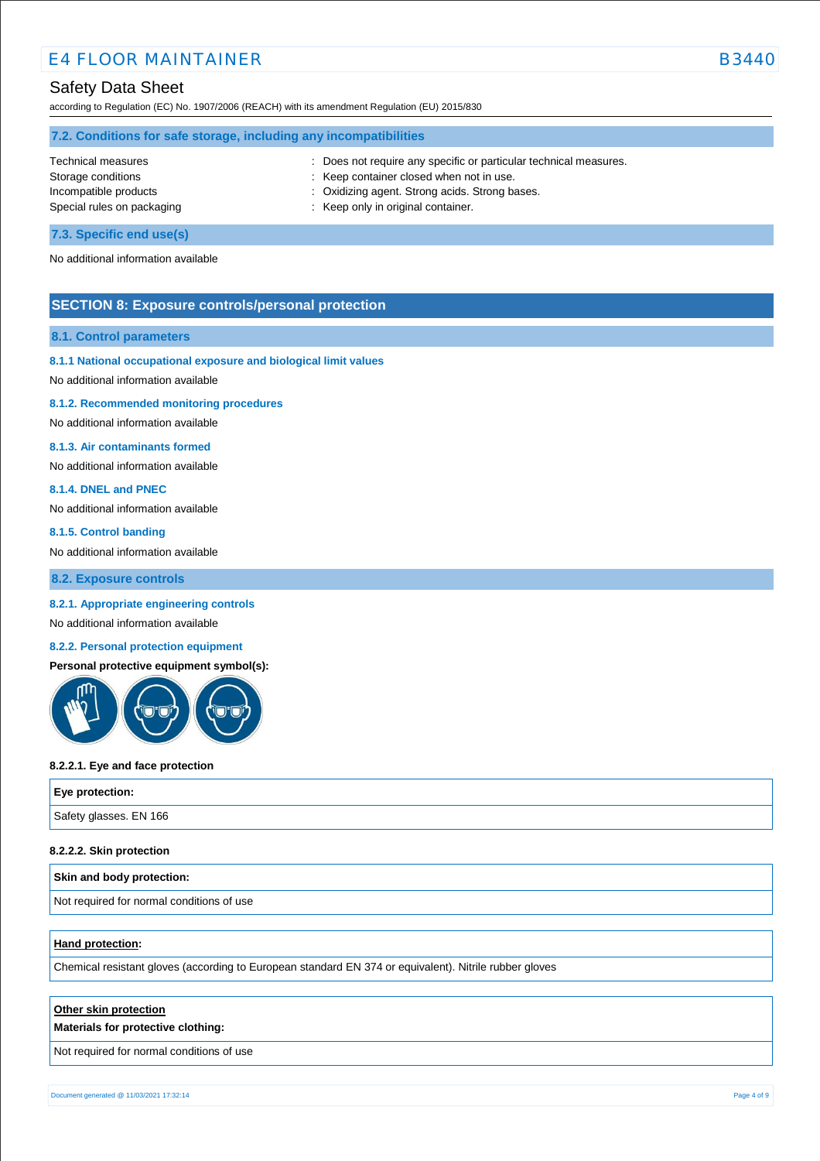## Safety Data Sheet

according to Regulation (EC) No. 1907/2006 (REACH) with its amendment Regulation (EU) 2015/830

| 7.2. Conditions for safe storage, including any incompatibilities |                                                                 |  |
|-------------------------------------------------------------------|-----------------------------------------------------------------|--|
| Technical measures                                                | Does not require any specific or particular technical measures. |  |
| Storage conditions                                                | : Keep container closed when not in use.                        |  |
| Incompatible products                                             | : Oxidizing agent. Strong acids. Strong bases.                  |  |
| Special rules on packaging                                        | : Keep only in original container.                              |  |
|                                                                   |                                                                 |  |

#### **7.3. Specific end use(s)**

No additional information available

#### **SECTION 8: Exposure controls/personal protection**

#### **8.1. Control parameters**

#### **8.1.1 National occupational exposure and biological limit values**

No additional information available

#### **8.1.2. Recommended monitoring procedures**

No additional information available

#### **8.1.3. Air contaminants formed**

No additional information available

#### **8.1.4. DNEL and PNEC**

No additional information available

#### **8.1.5. Control banding**

No additional information available

**8.2. Exposure controls**

#### **8.2.1. Appropriate engineering controls**

#### No additional information available

#### **8.2.2. Personal protection equipment**

**Personal protective equipment symbol(s):**



#### **8.2.2.1. Eye and face protection**

| Eye protection:        |  |
|------------------------|--|
| Safety glasses. EN 166 |  |

#### **8.2.2.2. Skin protection**

| Skin and body protection:                 |  |
|-------------------------------------------|--|
| Not required for normal conditions of use |  |

#### **Hand protection:**

Chemical resistant gloves (according to European standard EN 374 or equivalent). Nitrile rubber gloves

#### **Other skin protection**

#### **Materials for protective clothing:**

Not required for normal conditions of use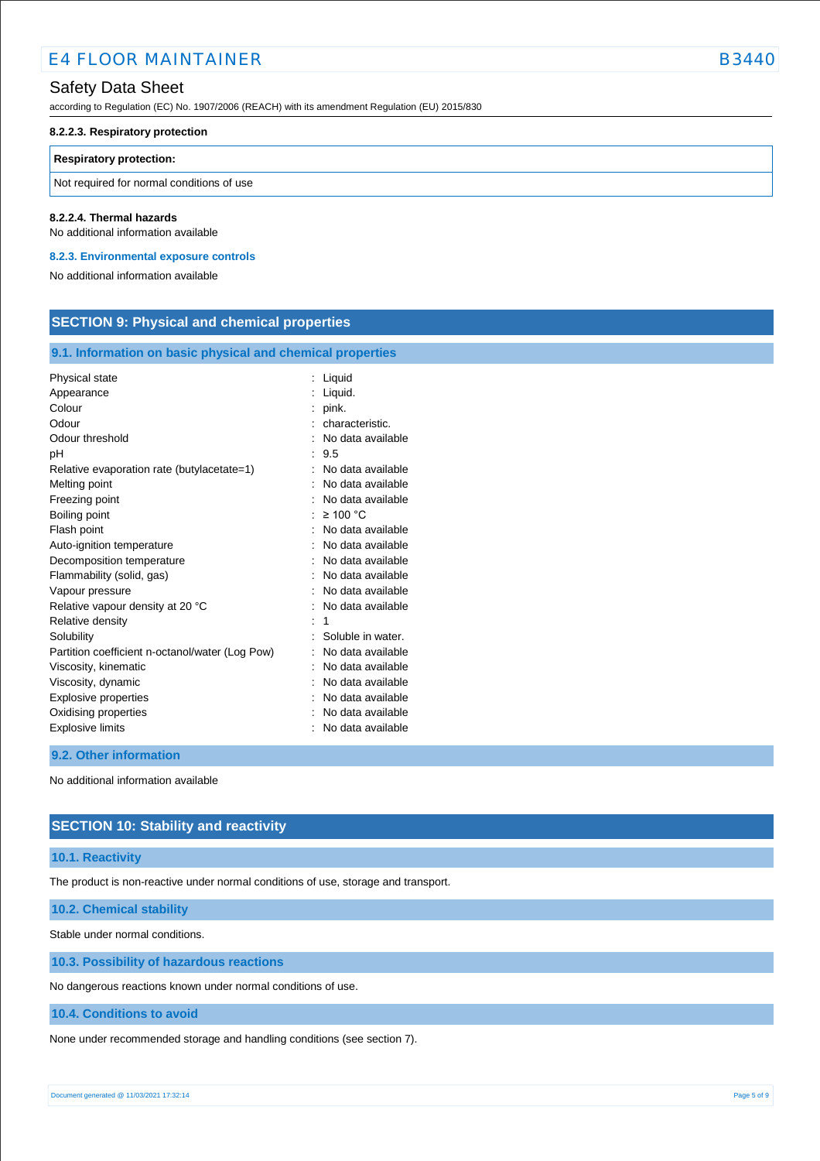# Safety Data Sheet

according to Regulation (EC) No. 1907/2006 (REACH) with its amendment Regulation (EU) 2015/830

#### **8.2.2.3. Respiratory protection**

#### **Respiratory protection:**

Not required for normal conditions of use

#### **8.2.2.4. Thermal hazards**

No additional information available

**8.2.3. Environmental exposure controls** 

No additional information available

### **SECTION 9: Physical and chemical properties**

#### **9.1. Information on basic physical and chemical properties**

| Physical state                                  | Liquid            |
|-------------------------------------------------|-------------------|
| Appearance                                      | Liquid.           |
| Colour                                          | pink.             |
| Odour                                           | characteristic.   |
| Odour threshold                                 | No data available |
| рH                                              | 9.5               |
| Relative evaporation rate (butylacetate=1)      | No data available |
| Melting point                                   | No data available |
| Freezing point                                  | No data available |
| Boiling point                                   | $\geq 100$ °C     |
| Flash point                                     | No data available |
| Auto-ignition temperature                       | No data available |
| Decomposition temperature                       | No data available |
| Flammability (solid, gas)                       | No data available |
| Vapour pressure                                 | No data available |
| Relative vapour density at 20 °C                | No data available |
| Relative density                                | 1                 |
| Solubility                                      | Soluble in water. |
| Partition coefficient n-octanol/water (Log Pow) | No data available |
| Viscosity, kinematic                            | No data available |
| Viscosity, dynamic                              | No data available |
| <b>Explosive properties</b>                     | No data available |
| Oxidising properties                            | No data available |
| <b>Explosive limits</b>                         | No data available |

#### **9.2. Other information**

No additional information available

### **SECTION 10: Stability and reactivity**

#### **10.1. Reactivity**

The product is non-reactive under normal conditions of use, storage and transport.

**10.2. Chemical stability**

Stable under normal conditions.

**10.3. Possibility of hazardous reactions**

No dangerous reactions known under normal conditions of use.

**10.4. Conditions to avoid**

None under recommended storage and handling conditions (see section 7).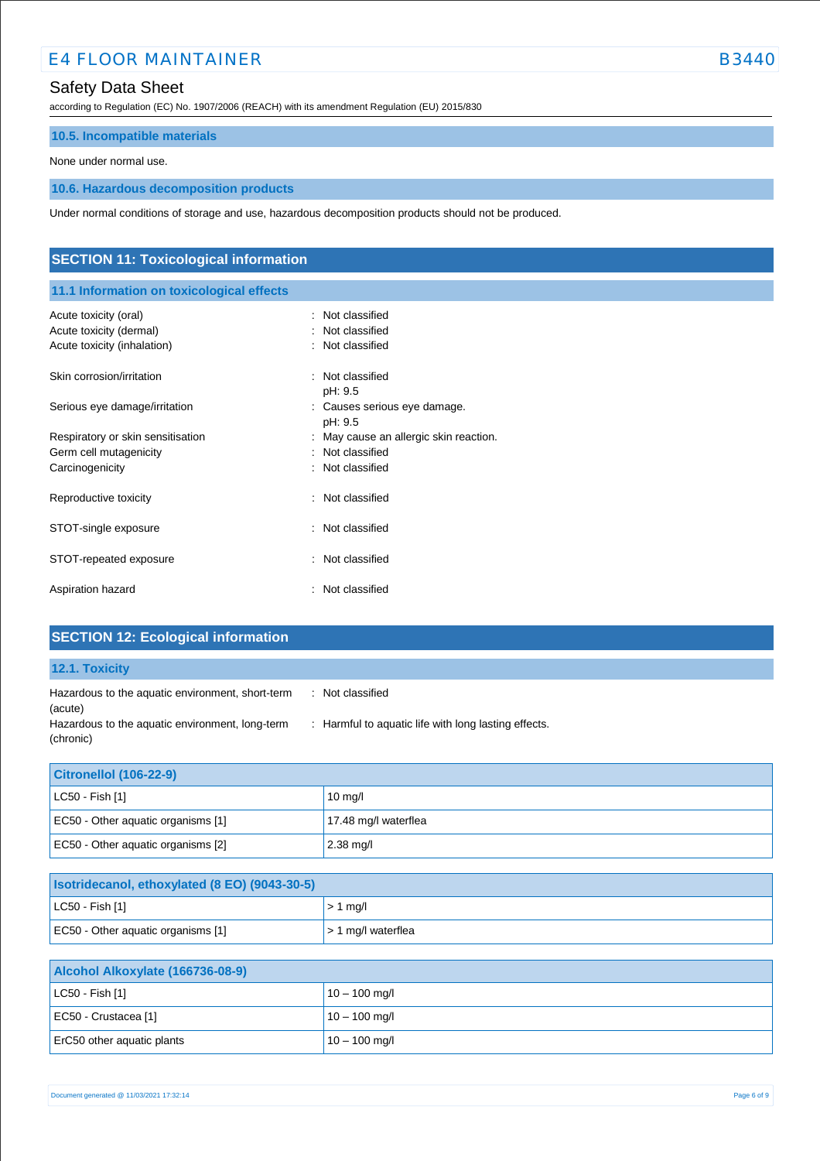# Safety Data Sheet

according to Regulation (EC) No. 1907/2006 (REACH) with its amendment Regulation (EU) 2015/830

### **10.5. Incompatible materials**

None under normal use.

# **10.6. Hazardous decomposition products**

Under normal conditions of storage and use, hazardous decomposition products should not be produced.

| <b>SECTION 11: Toxicological information</b>           |                                                 |  |
|--------------------------------------------------------|-------------------------------------------------|--|
| 11.1 Information on toxicological effects              |                                                 |  |
| Acute toxicity (oral)                                  | Not classified<br>÷<br>Not classified           |  |
| Acute toxicity (dermal)<br>Acute toxicity (inhalation) | Not classified<br>÷                             |  |
| Skin corrosion/irritation                              | Not classified<br>÷                             |  |
| Serious eye damage/irritation                          | pH: 9.5<br>: Causes serious eye damage.         |  |
| Respiratory or skin sensitisation                      | pH: 9.5<br>May cause an allergic skin reaction. |  |
| Germ cell mutagenicity<br>Carcinogenicity              | Not classified<br>÷<br>Not classified<br>÷      |  |
| Reproductive toxicity                                  | Not classified<br>۰                             |  |
| STOT-single exposure                                   | : Not classified                                |  |
| STOT-repeated exposure                                 | Not classified<br>÷                             |  |
| Aspiration hazard                                      | Not classified<br>$\ddot{\phantom{a}}$          |  |

| <b>SECTION 12: Ecological information</b>                    |                                                      |
|--------------------------------------------------------------|------------------------------------------------------|
| 12.1. Toxicity                                               |                                                      |
| Hazardous to the aquatic environment, short-term<br>(acute)  | Not classified<br>$\mathbb{R}^n$                     |
| Hazardous to the aquatic environment, long-term<br>(chronic) | : Harmful to aquatic life with long lasting effects. |

| Citronellol (106-22-9)             |                      |  |
|------------------------------------|----------------------|--|
| $ $ LC50 - Fish [1]                | $10 \text{ mg/l}$    |  |
| EC50 - Other aquatic organisms [1] | 17.48 mg/l waterflea |  |
| EC50 - Other aquatic organisms [2] | $2.38$ mg/l          |  |

| <b>Isotridecanol, ethoxylated (8 EO) (9043-30-5)</b> |                                |  |
|------------------------------------------------------|--------------------------------|--|
| $ $ LC50 - Fish [1]                                  | $> 1$ mg/l                     |  |
| EC50 - Other aquatic organisms [1]                   | $\frac{1}{2}$ 1 mg/l waterflea |  |

| Alcohol Alkoxylate (166736-08-9) |                 |
|----------------------------------|-----------------|
| $ $ LC50 - Fish [1]              | $10 - 100$ mg/l |
| EC50 - Crustacea [1]             | $10 - 100$ mg/l |
| ErC50 other aquatic plants       | $10 - 100$ mg/l |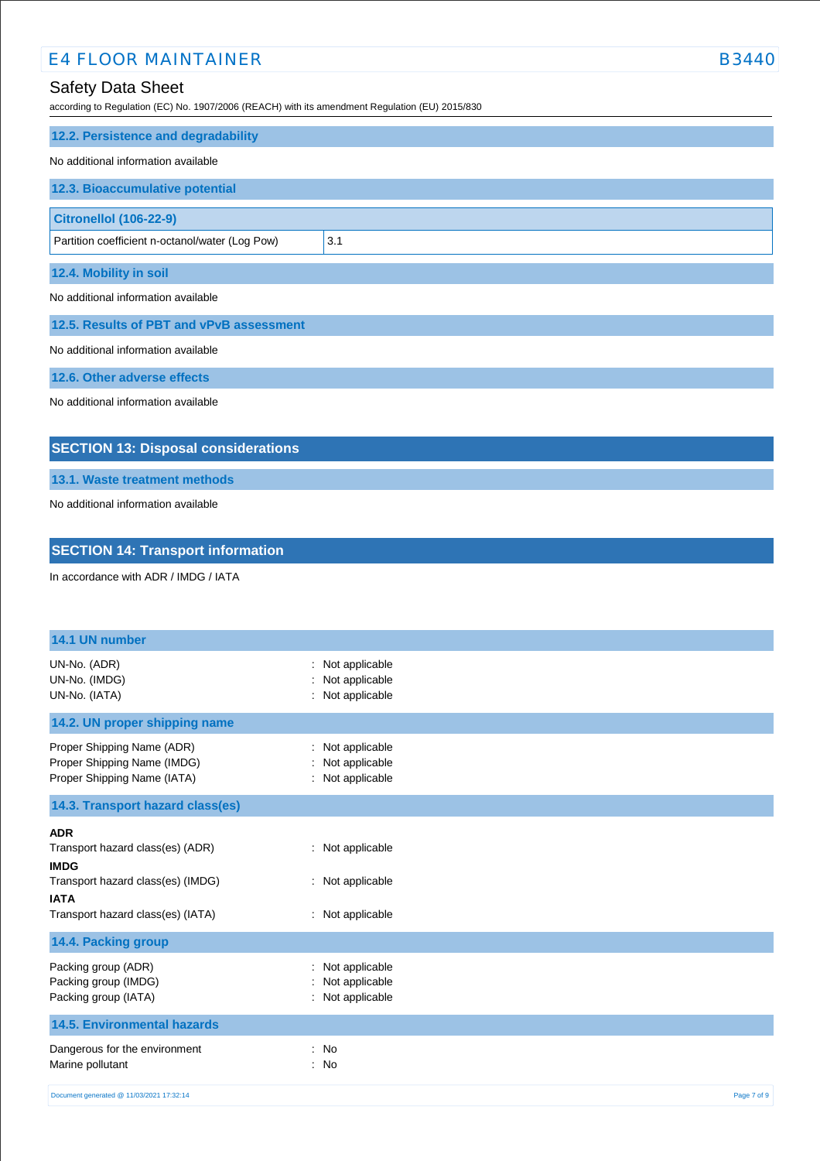# Safety Data Sheet

according to Regulation (EC) No. 1907/2006 (REACH) with its amendment Regulation (EU) 2015/830

| 12.2. Persistence and degradability             |     |
|-------------------------------------------------|-----|
| No additional information available             |     |
| 12.3. Bioaccumulative potential                 |     |
| <b>Citronellol (106-22-9)</b>                   |     |
| Partition coefficient n-octanol/water (Log Pow) | 3.1 |
| 12.4. Mobility in soil                          |     |
| No additional information available             |     |

**12.5. Results of PBT and vPvB assessment**

No additional information available

**12.6. Other adverse effects**

No additional information available

# **SECTION 13: Disposal considerations**

**13.1. Waste treatment methods**

No additional information available

### **SECTION 14: Transport information**

In accordance with ADR / IMDG / IATA

| 14.1 UN number                                                                                                                                         |                                                          |             |
|--------------------------------------------------------------------------------------------------------------------------------------------------------|----------------------------------------------------------|-------------|
| UN-No. (ADR)<br>UN-No. (IMDG)<br>UN-No. (IATA)                                                                                                         | Not applicable<br>Not applicable<br>: Not applicable     |             |
| 14.2. UN proper shipping name                                                                                                                          |                                                          |             |
| Proper Shipping Name (ADR)<br>Proper Shipping Name (IMDG)<br>Proper Shipping Name (IATA)                                                               | : Not applicable<br>Not applicable<br>: Not applicable   |             |
| 14.3. Transport hazard class(es)                                                                                                                       |                                                          |             |
| <b>ADR</b><br>Transport hazard class(es) (ADR)<br><b>IMDG</b><br>Transport hazard class(es) (IMDG)<br><b>IATA</b><br>Transport hazard class(es) (IATA) | : Not applicable<br>: Not applicable<br>: Not applicable |             |
| 14.4. Packing group                                                                                                                                    |                                                          |             |
| Packing group (ADR)<br>Packing group (IMDG)<br>Packing group (IATA)                                                                                    | Not applicable<br>Not applicable<br>: Not applicable     |             |
| <b>14.5. Environmental hazards</b>                                                                                                                     |                                                          |             |
| Dangerous for the environment<br>Marine pollutant                                                                                                      | : No<br>: No                                             |             |
| Document generated @ 11/03/2021 17:32:14                                                                                                               |                                                          | Page 7 of 9 |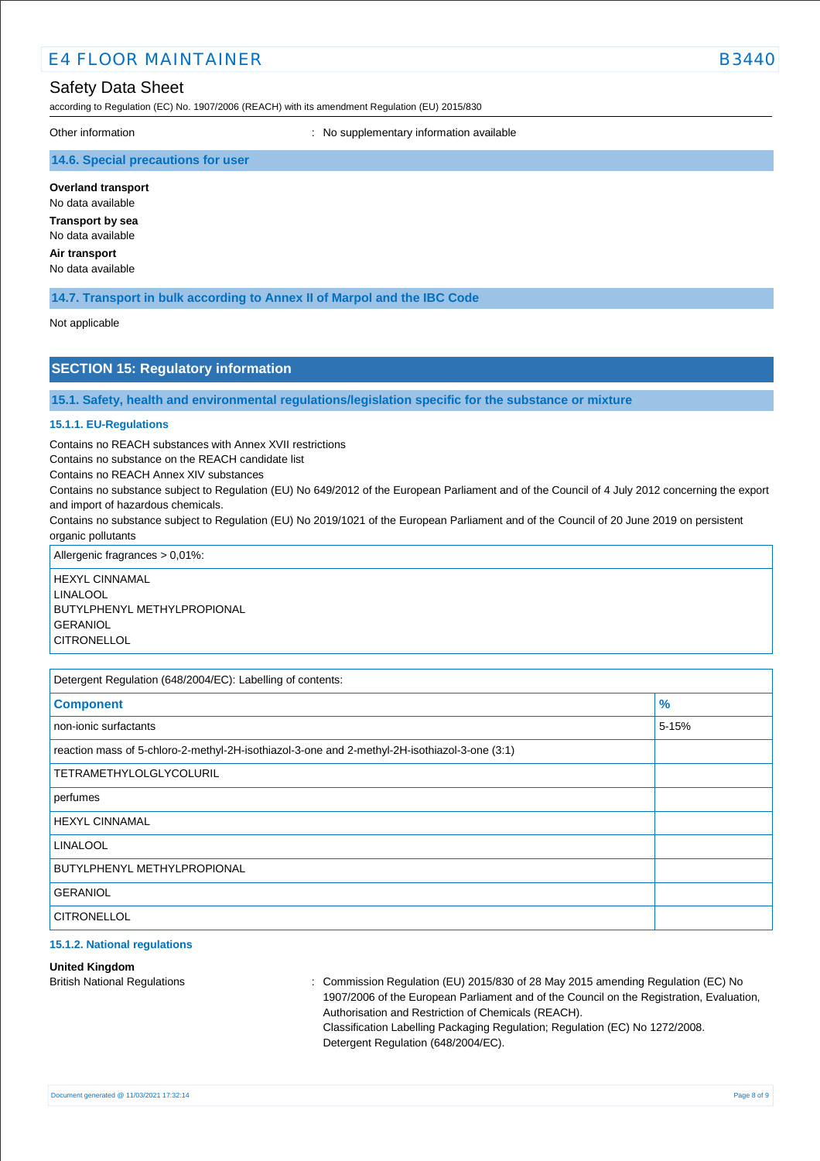# Safety Data Sheet

according to Regulation (EC) No. 1907/2006 (REACH) with its amendment Regulation (EU) 2015/830

Other information **intervalse and the Contract Contract Contract Contract Contract Contract Contract Contract Contract Contract Contract Contract Contract Contract Contract Contract Contract Contract Contract Contract Cont** 

### **14.6. Special precautions for user**

**Overland transport**

No data available **Transport by sea** No data available

**Air transport** No data available

**14.7. Transport in bulk according to Annex II of Marpol and the IBC Code**

#### Not applicable

### **SECTION 15: Regulatory information**

**15.1. Safety, health and environmental regulations/legislation specific for the substance or mixture**

#### **15.1.1. EU-Regulations**

Contains no REACH substances with Annex XVII restrictions

Contains no substance on the REACH candidate list

Contains no REACH Annex XIV substances

Contains no substance subject to Regulation (EU) No 649/2012 of the European Parliament and of the Council of 4 July 2012 concerning the export and import of hazardous chemicals.

Contains no substance subject to Regulation (EU) No 2019/1021 of the European Parliament and of the Council of 20 June 2019 on persistent organic pollutants

Allergenic fragrances > 0,01%:

HEXYL CINNAMAL LINAL OOL BUTYLPHENYL METHYLPROPIONAL GERANIOL **CITRONELLOL** 

| Detergent Regulation (648/2004/EC): Labelling of contents:                                    |               |  |
|-----------------------------------------------------------------------------------------------|---------------|--|
| <b>Component</b>                                                                              | $\frac{9}{6}$ |  |
| non-ionic surfactants                                                                         | 5-15%         |  |
| reaction mass of 5-chloro-2-methyl-2H-isothiazol-3-one and 2-methyl-2H-isothiazol-3-one (3:1) |               |  |
| <b>TETRAMETHYLOLGLYCOLURIL</b>                                                                |               |  |
| perfumes                                                                                      |               |  |
| <b>HEXYL CINNAMAL</b>                                                                         |               |  |
| <b>LINALOOL</b>                                                                               |               |  |
| <b>BUTYLPHENYL METHYLPROPIONAL</b>                                                            |               |  |
| <b>GERANIOL</b>                                                                               |               |  |
| <b>CITRONELLOL</b>                                                                            |               |  |

#### **15.1.2. National regulations**

#### **United Kingdom**

British National Regulations : Commission Regulation (EU) 2015/830 of 28 May 2015 amending Regulation (EC) No 1907/2006 of the European Parliament and of the Council on the Registration, Evaluation, Authorisation and Restriction of Chemicals (REACH). Classification Labelling Packaging Regulation; Regulation (EC) No 1272/2008. Detergent Regulation (648/2004/EC).